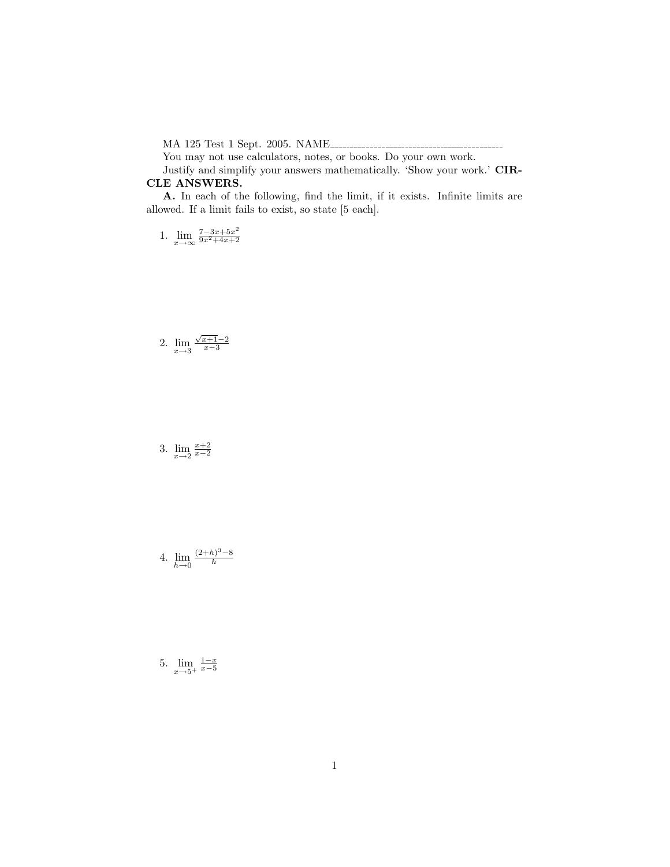MA 125 Test 1 Sept. 2005. NAME

You may not use calculators, notes, or books. Do your own work.

Justify and simplify your answers mathematically. 'Show your work.' CIR-CLE ANSWERS.

A. In each of the following, find the limit, if it exists. Infinite limits are allowed. If a limit fails to exist, so state [5 each].

1.  $\lim_{x \to \infty} \frac{7 - 3x + 5x^2}{9x^2 + 4x + 2}$  $\frac{9x^2+4x+2}{x}$ 

## 2.  $\lim_{x \to 3} \frac{\sqrt{x+1}-2}{x-3}$

3.  $\lim_{x \to 2} \frac{x+2}{x-2}$ 

4. 
$$
\lim_{h \to 0} \frac{(2+h)^3 - 8}{h}
$$

5.  $\lim_{x\to 5^+}$  $\frac{1-x}{x-5}$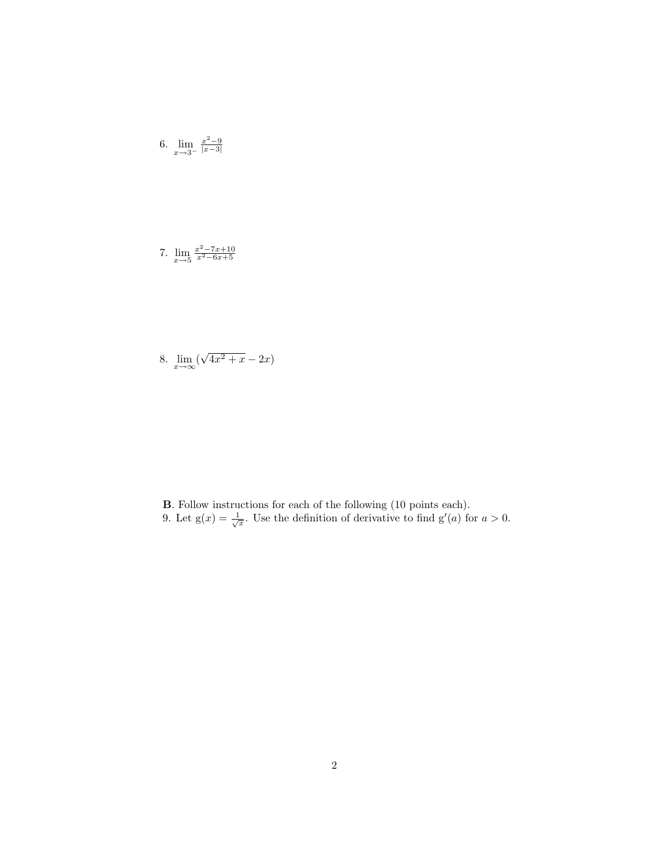6. 
$$
\lim_{x \to 3^{-}} \frac{x^2 - 9}{|x - 3|}
$$

7.  $\lim_{x \to 5} \frac{x^2 - 7x + 10}{x^2 - 6x + 5}$ 

8.  $\lim_{x\to\infty}$  ( √  $\overline{4x^2 + x} - 2x$ 

B. Follow instructions for each of the following (10 points each). 9. Let  $g(x) = \frac{1}{\sqrt{x}}$ . Use the definition of derivative to find  $g'(a)$  for  $a > 0$ .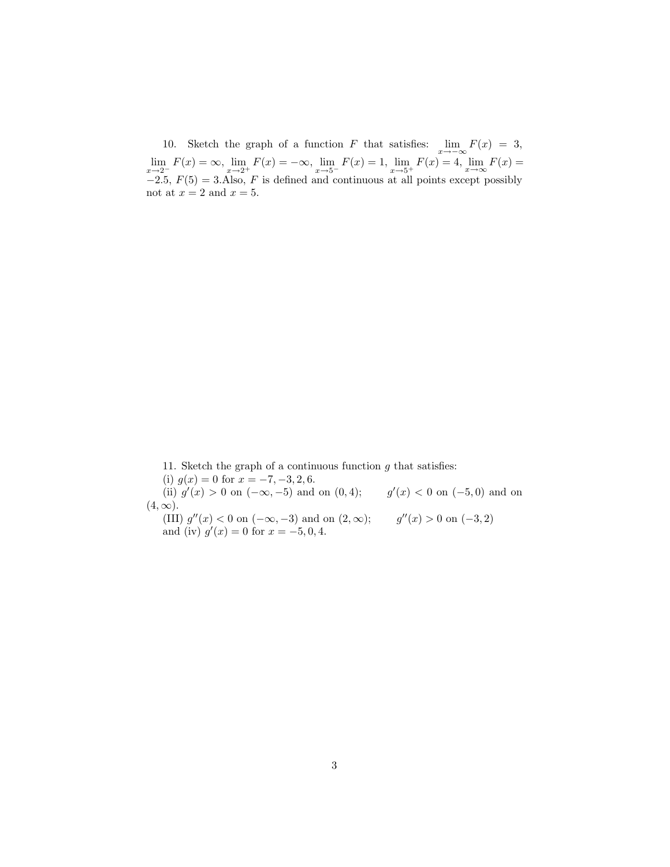10. Sketch the graph of a function F that satisfies:  $\lim_{x \to -\infty} F(x) = 3$ ,  $\lim_{x \to 2^{-}} F(x) = \infty$ ,  $\lim_{x \to 2^{+}} F(x) = -\infty$ ,  $\lim_{x \to 5^{-}} F(x) = 1$ ,  $\lim_{x \to 5^{+}} F(x) = 4$ ,  $\lim_{x \to \infty} F(x) =$  $-2.5, F(5) = 3.$ Also, F is defined and continuous at all points except possibly not at  $x = 2$  and  $x = 5$ .

11. Sketch the graph of a continuous function  $g$  that satisfies:

(i)  $g(x) = 0$  for  $x = -7, -3, 2, 6$ .

(ii)  $g'(x) > 0$  on  $(-\infty, -5)$  and on  $(0, 4)$ ;  $g'(x) < 0$  on  $(-5, 0)$  and on  $(4, \infty)$ .

(III)  $g''(x) < 0$  on  $(-\infty, -3)$  and on  $(2, \infty);$  g''(x) > 0 on  $(-3, 2)$ and (iv)  $g'(x) = 0$  for  $x = -5, 0, 4$ .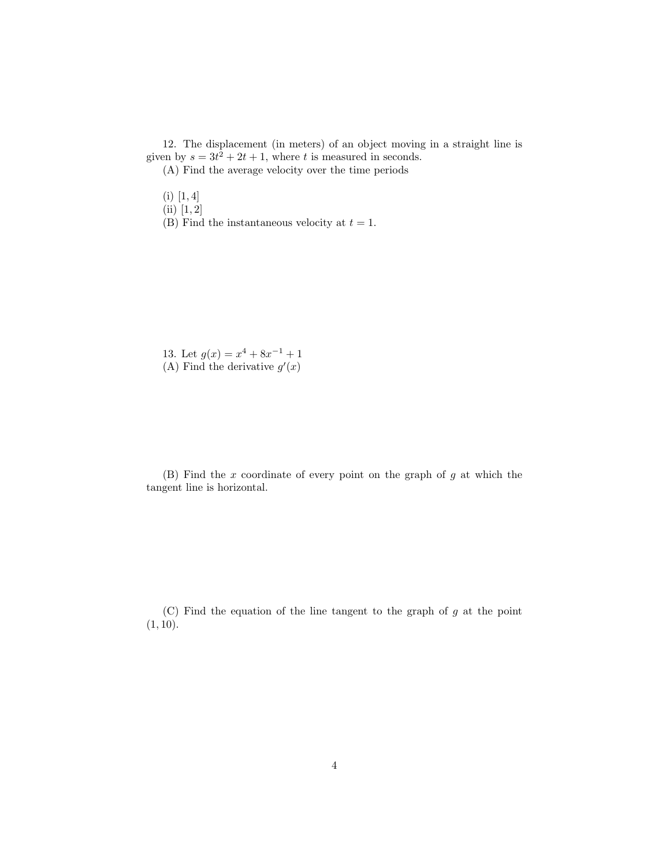12. The displacement (in meters) of an object moving in a straight line is given by  $s = 3t^2 + 2t + 1$ , where t is measured in seconds. (A) Find the average velocity over the time periods

 $(i)$  [1, 4]

- (ii) [1, 2]
- (B) Find the instantaneous velocity at  $t = 1$ .

13. Let  $g(x) = x^4 + 8x^{-1} + 1$ (A) Find the derivative  $g'(x)$ 

 $(B)$  Find the x coordinate of every point on the graph of g at which the tangent line is horizontal.

 $(C)$  Find the equation of the line tangent to the graph of g at the point  $(1, 10)$ .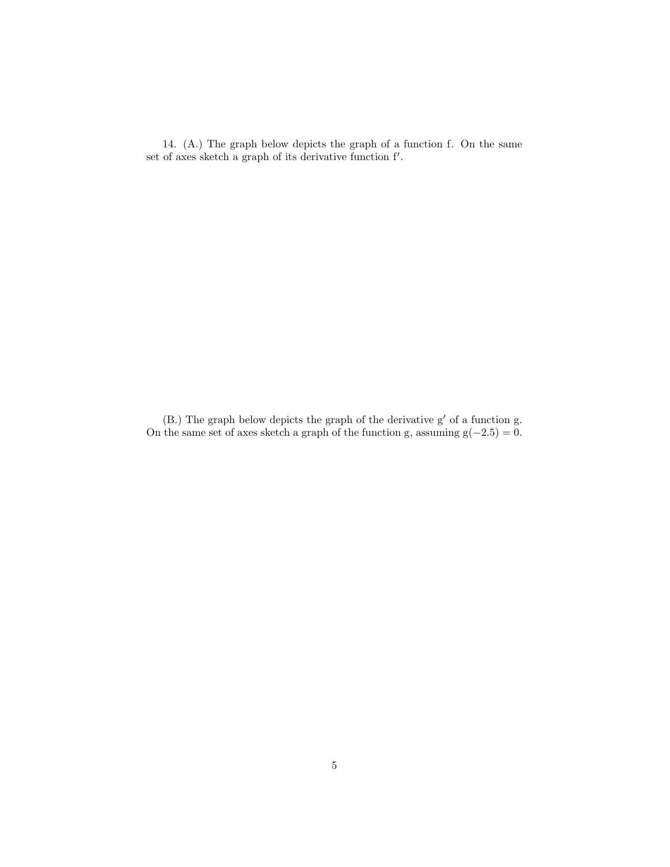14. (A.) The graph below depicts the graph of a function f. On the same set of axes sketch a graph of its derivative function  $f'$ .

 $(B.)$  The graph below depicts the graph of the derivative  $g'$  of a function g. On the same set of axes sketch a graph of the function g, assuming  $g(-2.5) = 0$ .